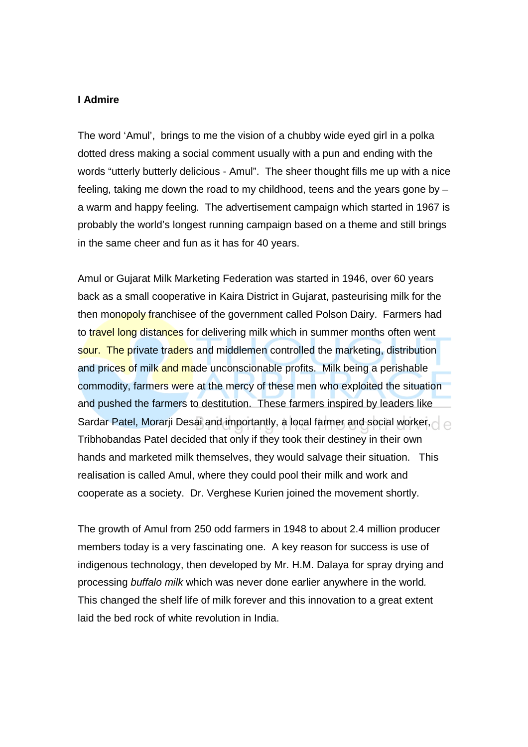## **I Admire**

The word 'Amul', brings to me the vision of a chubby wide eyed girl in a polka dotted dress making a social comment usually with a pun and ending with the words "utterly butterly delicious - Amul". The sheer thought fills me up with a nice feeling, taking me down the road to my childhood, teens and the years gone by – a warm and happy feeling. The advertisement campaign which started in 1967 is probably the world's longest running campaign based on a theme and still brings in the same cheer and fun as it has for 40 years.

Amul or Gujarat Milk Marketing Federation was started in 1946, over 60 years back as a small cooperative in Kaira District in Gujarat, pasteurising milk for the then monopoly franchisee of the government called Polson Dairy. Farmers had to travel long distances for delivering milk which in summer months often went sour. The private traders and middlemen controlled the marketing, distribution and prices of milk and made unconscionable profits. Milk being a perishable commodity, farmers were at the mercy of these men who exploited the situation and pushed the farmers to destitution. These farmers inspired by leaders like Sardar Patel, Morarji Desai and importantly, a local farmer and social worker, Tribhobandas Patel decided that only if they took their destiney in their own hands and marketed milk themselves, they would salvage their situation. This realisation is called Amul, where they could pool their milk and work and cooperate as a society. Dr. Verghese Kurien joined the movement shortly.

The growth of Amul from 250 odd farmers in 1948 to about 2.4 million producer members today is a very fascinating one. A key reason for success is use of indigenous technology, then developed by Mr. H.M. Dalaya for spray drying and processing buffalo milk which was never done earlier anywhere in the world. This changed the shelf life of milk forever and this innovation to a great extent laid the bed rock of white revolution in India.